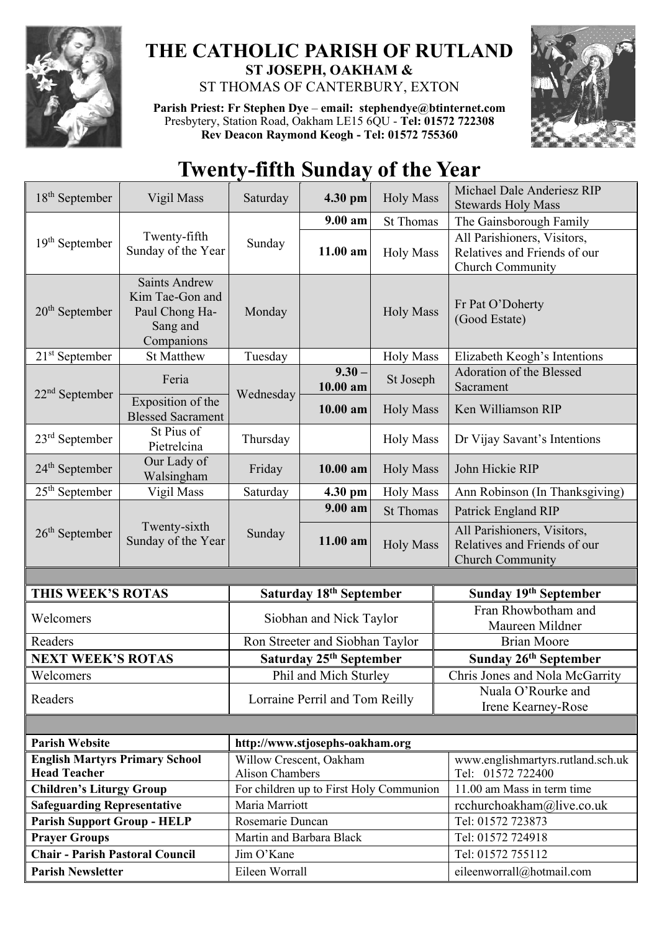

## **THE CATHOLIC PARISH OF RUTLAND ST JOSEPH, OAKHAM &**  ST THOMAS OF CANTERBURY, EXTON

**Parish Priest: Fr Stephen Dye** – **[email: stephendye@btinternet.com](mailto:email:%20%20stephendye@btinternet.com)** Presbytery, Station Road, Oakham LE15 6QU - **Tel: 01572 722308 Rev Deacon Raymond Keogh - Tel: 01572 755360**



## **Twenty-fifth Sunday of the Year**

| $18th$ September                                                   | Vigil Mass                                                                          | Saturday                            | 4.30 pm                                 | <b>Holy Mass</b> | Michael Dale Anderiesz RIP<br><b>Stewards Holy Mass</b>                         |  |
|--------------------------------------------------------------------|-------------------------------------------------------------------------------------|-------------------------------------|-----------------------------------------|------------------|---------------------------------------------------------------------------------|--|
| $19th$ September                                                   | Twenty-fifth<br>Sunday of the Year                                                  | Sunday                              | 9.00 am                                 | <b>St Thomas</b> | The Gainsborough Family                                                         |  |
|                                                                    |                                                                                     |                                     | 11.00 am                                | <b>Holy Mass</b> | All Parishioners, Visitors,<br>Relatives and Friends of our<br>Church Community |  |
| $20th$ September                                                   | <b>Saints Andrew</b><br>Kim Tae-Gon and<br>Paul Chong Ha-<br>Sang and<br>Companions | Monday                              |                                         | <b>Holy Mass</b> | Fr Pat O'Doherty<br>(Good Estate)                                               |  |
| $21st$ September                                                   | <b>St Matthew</b>                                                                   | Tuesday                             |                                         | <b>Holy Mass</b> | Elizabeth Keogh's Intentions                                                    |  |
| $22nd$ September                                                   | Feria                                                                               | Wednesday                           | $9.30 -$<br>10.00 am                    | St Joseph        | Adoration of the Blessed<br>Sacrament                                           |  |
|                                                                    | Exposition of the<br><b>Blessed Sacrament</b>                                       |                                     | $10.00$ am                              | <b>Holy Mass</b> | Ken Williamson RIP                                                              |  |
| $23rd$ September                                                   | St Pius of<br>Pietrelcina                                                           | Thursday                            |                                         | <b>Holy Mass</b> | Dr Vijay Savant's Intentions                                                    |  |
| $24th$ September                                                   | Our Lady of<br>Walsingham                                                           | Friday                              | $10.00$ am                              | <b>Holy Mass</b> | John Hickie RIP                                                                 |  |
| $25th$ September                                                   | Vigil Mass                                                                          | Saturday                            | 4.30 pm                                 | <b>Holy Mass</b> | Ann Robinson (In Thanksgiving)                                                  |  |
| $26th$ September                                                   | Twenty-sixth<br>Sunday of the Year                                                  | Sunday                              | $9.00 a$ m                              | <b>St Thomas</b> | Patrick England RIP                                                             |  |
|                                                                    |                                                                                     |                                     | 11.00 am                                | <b>Holy Mass</b> | All Parishioners, Visitors,<br>Relatives and Friends of our<br>Church Community |  |
|                                                                    |                                                                                     |                                     |                                         |                  |                                                                                 |  |
| THIS WEEK'S ROTAS                                                  |                                                                                     | Saturday 18th September             |                                         |                  | Sunday 19th September                                                           |  |
| Welcomers                                                          |                                                                                     | Siobhan and Nick Taylor             |                                         |                  | Fran Rhowbotham and<br>Maureen Mildner                                          |  |
| Readers                                                            |                                                                                     | Ron Streeter and Siobhan Taylor     |                                         |                  | <b>Brian Moore</b>                                                              |  |
| <b>NEXT WEEK'S ROTAS</b>                                           |                                                                                     | Saturday 25 <sup>th</sup> September |                                         |                  | Sunday 26th September                                                           |  |
| Welcomers                                                          |                                                                                     | Phil and Mich Sturley               |                                         |                  | Chris Jones and Nola McGarrity                                                  |  |
| Readers                                                            |                                                                                     | Lorraine Perril and Tom Reilly      |                                         |                  | Nuala O'Rourke and<br>Irene Kearney-Rose                                        |  |
|                                                                    |                                                                                     |                                     |                                         |                  |                                                                                 |  |
| <b>Parish Website</b>                                              |                                                                                     | http://www.stjosephs-oakham.org     |                                         |                  |                                                                                 |  |
| <b>English Martyrs Primary School</b>                              |                                                                                     | Willow Crescent, Oakham             |                                         |                  |                                                                                 |  |
| <b>Head Teacher</b>                                                |                                                                                     |                                     |                                         |                  | www.englishmartyrs.rutland.sch.uk                                               |  |
|                                                                    |                                                                                     | <b>Alison Chambers</b>              |                                         |                  | Tel: 01572 722400                                                               |  |
| <b>Children's Liturgy Group</b>                                    |                                                                                     |                                     | For children up to First Holy Communion |                  | 11.00 am Mass in term time                                                      |  |
| <b>Safeguarding Representative</b>                                 |                                                                                     | Maria Marriott                      |                                         |                  | rcchurchoakham@live.co.uk                                                       |  |
| <b>Parish Support Group - HELP</b>                                 |                                                                                     | Rosemarie Duncan                    |                                         |                  | Tel: 01572 723873                                                               |  |
| <b>Prayer Groups</b>                                               |                                                                                     | Martin and Barbara Black            |                                         |                  | Tel: 01572 724918                                                               |  |
| <b>Chair - Parish Pastoral Council</b><br><b>Parish Newsletter</b> |                                                                                     | Jim O'Kane<br>Eileen Worrall        |                                         |                  | Tel: 01572 755112<br>eileenworrall@hotmail.com                                  |  |